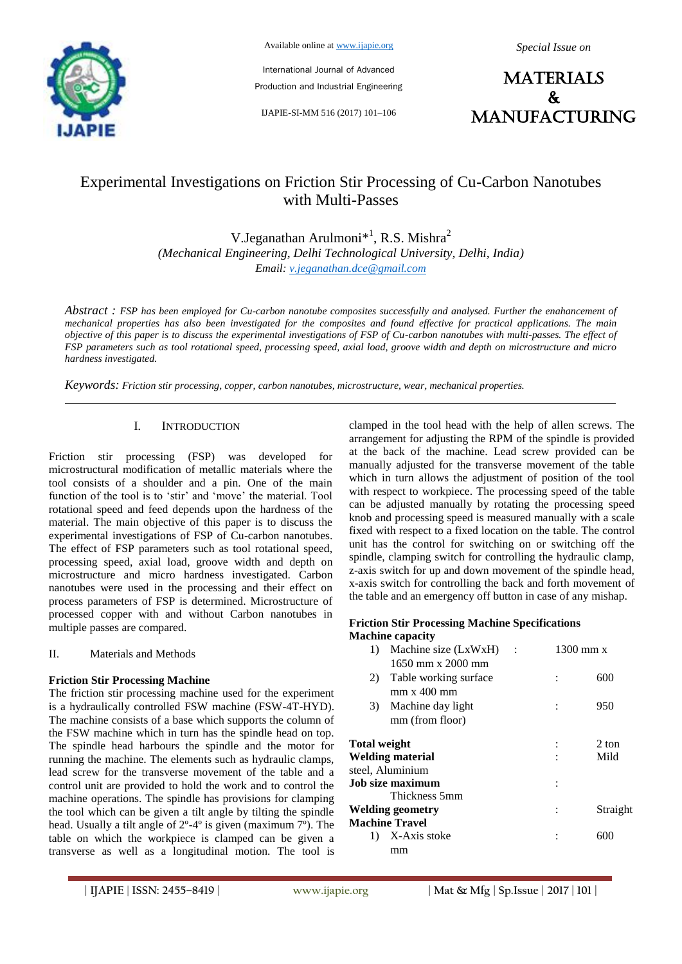

Available online at www.ijapie.org

International Journal of Advanced Production and Industrial Engineering

IJAPIE-SI-MM 516 (2017) 101–106

*Special Issue on*

**MATERIALS**  $\mathbf{k}$ manufacturing

# Experimental Investigations on Friction Stir Processing of Cu-Carbon Nanotubes with Multi-Passes

V.Jeganathan Arulmoni<sup>\*1</sup>, R.S. Mishra<sup>2</sup> *Email: v.jeganathan.dce@gmail.com (Mechanical Engineering, Delhi Technological University, Delhi, India)*

*Abstract : FSP has been employed for Cu-carbon nanotube composites successfully and analysed. Further the enahancement of mechanical properties has also been investigated for the composites and found effective for practical applications. The main objective of this paper is to discuss the experimental investigations of FSP of Cu-carbon nanotubes with multi-passes. The effect of FSP parameters such as tool rotational speed, processing speed, axial load, groove width and depth on microstructure and micro hardness investigated.*

*Keywords: Friction stir processing, copper, carbon nanotubes, microstructure, wear, mechanical properties.*

# I. INTRODUCTION

Friction stir processing (FSP) was developed for microstructural modification of metallic materials where the tool consists of a shoulder and a pin. One of the main function of the tool is to 'stir' and 'move' the material. Tool rotational speed and feed depends upon the hardness of the material. The main objective of this paper is to discuss the experimental investigations of FSP of Cu-carbon nanotubes. The effect of FSP parameters such as tool rotational speed, processing speed, axial load, groove width and depth on microstructure and micro hardness investigated. Carbon nanotubes were used in the processing and their effect on process parameters of FSP is determined. Microstructure of processed copper with and without Carbon nanotubes in multiple passes are compared.

II. Materials and Methods

### **Friction Stir Processing Machine**

The friction stir processing machine used for the experiment is a hydraulically controlled FSW machine (FSW-4T-HYD). The machine consists of a base which supports the column of the FSW machine which in turn has the spindle head on top. The spindle head harbours the spindle and the motor for running the machine. The elements such as hydraulic clamps, lead screw for the transverse movement of the table and a control unit are provided to hold the work and to control the machine operations. The spindle has provisions for clamping the tool which can be given a tilt angle by tilting the spindle head. Usually a tilt angle of 2º-4º is given (maximum 7º). The table on which the workpiece is clamped can be given a transverse as well as a longitudinal motion. The tool is clamped in the tool head with the help of allen screws. The arrangement for adjusting the RPM of the spindle is provided at the back of the machine. Lead screw provided can be manually adjusted for the transverse movement of the table which in turn allows the adjustment of position of the tool with respect to workpiece. The processing speed of the table can be adjusted manually by rotating the processing speed knob and processing speed is measured manually with a scale fixed with respect to a fixed location on the table. The control unit has the control for switching on or switching off the spindle, clamping switch for controlling the hydraulic clamp, z-axis switch for up and down movement of the spindle head, x-axis switch for controlling the back and forth movement of the table and an emergency off button in case of any mishap.

#### **Friction Stir Processing Machine Specifications Machine capacity**

| Machine size (LxWxH)<br>1) |                         |  | $1300 \text{ mm}$ x |
|----------------------------|-------------------------|--|---------------------|
|                            | $1650$ mm x 2000 mm     |  |                     |
| 2)                         | Table working surface   |  | 600                 |
|                            | $mm \times 400 \, mm$   |  |                     |
| 3)                         | Machine day light       |  | 950                 |
|                            | mm (from floor)         |  |                     |
| Total weight               |                         |  | 2 ton               |
|                            | Welding material        |  | Mild                |
|                            | steel, Aluminium        |  |                     |
|                            | <b>Job size maximum</b> |  |                     |
|                            | Thickness 5mm           |  |                     |
|                            | Welding geometry        |  | Straight            |
|                            | Machine Travel          |  |                     |
| 1)                         | X-Axis stoke            |  | 600                 |
|                            | mm                      |  |                     |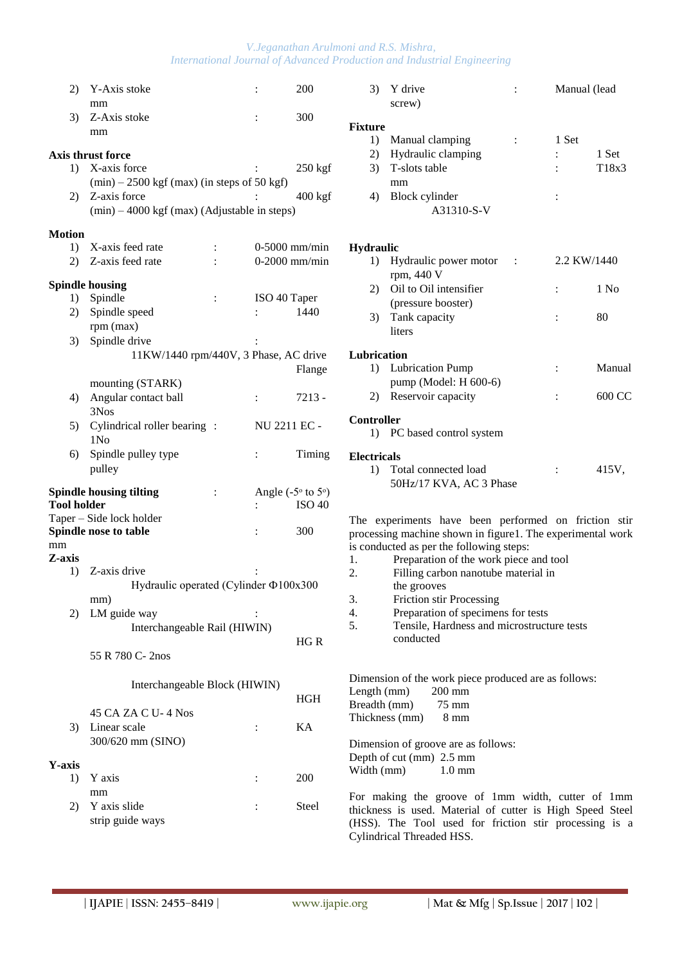# *V.Jeganathan Arulmoni and R.S. Mishra, International Journal of Advanced Production and Industrial Engineering*

| 2)                   | Y-Axis stoke                                     |                | :              | 200                          | 3)                   |
|----------------------|--------------------------------------------------|----------------|----------------|------------------------------|----------------------|
|                      | mm                                               |                |                |                              |                      |
| 3)                   | Z-Axis stoke                                     |                |                | 300                          | Fixture              |
|                      | mm                                               |                |                |                              | 1)                   |
|                      | Axis thrust force                                |                |                |                              | 2)                   |
|                      | 1) X-axis force                                  |                |                | $250$ kgf                    | 3)                   |
|                      | $(min) - 2500$ kgf $(max)$ (in steps of 50 kgf)  |                |                |                              |                      |
| 2)                   | Z-axis force                                     |                |                | $400$ kgf                    | 4)                   |
|                      | $(min) - 4000$ kgf $(max)$ (Adjustable in steps) |                |                |                              |                      |
| <b>Motion</b>        |                                                  |                |                |                              |                      |
| 1)                   | X-axis feed rate                                 | $\ddot{\cdot}$ |                | $0-5000$ mm/min              | Hydra                |
| 2)                   | Z-axis feed rate                                 |                |                | $0-2000$ mm/min              | 1)                   |
|                      |                                                  |                |                |                              |                      |
|                      | <b>Spindle housing</b>                           |                |                |                              | 2)                   |
|                      | 1) Spindle                                       | $\ddot{\cdot}$ | ISO 40 Taper   |                              |                      |
| 2)                   | Spindle speed                                    |                | $\ddot{\cdot}$ | 1440                         | 3)                   |
|                      | rpm (max)                                        |                |                |                              |                      |
| 3)                   | Spindle drive                                    |                |                |                              |                      |
|                      | 11KW/1440 rpm/440V, 3 Phase, AC drive            |                |                |                              | Lubric               |
|                      |                                                  |                |                | Flange                       | 1)                   |
|                      | mounting (STARK)                                 |                |                |                              |                      |
| 4)                   | Angular contact ball<br>3Nos                     |                | $\ddot{\cdot}$ | $7213 -$                     | 2)                   |
|                      | Cylindrical roller bearing:                      |                | NU 2211 EC -   |                              | Contro               |
| 5)                   | 1N <sub>0</sub>                                  |                |                |                              | 1)                   |
| 6)                   | Spindle pulley type                              |                | $\ddot{\cdot}$ | Timing                       |                      |
|                      | pulley                                           |                |                |                              | Electri              |
|                      |                                                  |                |                |                              | 1)                   |
|                      | <b>Spindle housing tilting</b>                   | $\ddot{\cdot}$ |                | Angle $(-5° \text{ to } 5°)$ |                      |
| <b>Tool holder</b>   |                                                  |                | $\ddot{\cdot}$ | <b>ISO 40</b>                |                      |
|                      | Taper - Side lock holder                         |                |                |                              | The e:               |
|                      | Spindle nose to table                            |                | $\ddot{\cdot}$ | 300                          | process              |
| mm<br>Z-axis         |                                                  |                |                |                              | is cond              |
| 1)                   | Z-axis drive                                     |                |                |                              | 1.<br>2.             |
|                      | Hydraulic operated (Cylinder Φ100x300            |                |                |                              |                      |
|                      | mm)                                              |                |                |                              | 3.                   |
| 2)                   | LM guide way                                     |                |                |                              | 4.                   |
|                      | Interchangeable Rail (HIWIN)                     |                |                |                              | 5.                   |
|                      |                                                  |                |                | HG R                         |                      |
|                      | 55 R 780 C- 2nos                                 |                |                |                              |                      |
|                      |                                                  |                |                |                              |                      |
|                      | Interchangeable Block (HIWIN)                    |                |                |                              | Dimens<br>Length     |
|                      |                                                  |                |                | <b>HGH</b>                   | <b>Breadtl</b>       |
|                      | 45 CA ZA C U-4 Nos                               |                |                |                              | Thickn               |
| 3)                   | Linear scale                                     |                | :              | KA                           |                      |
|                      | 300/620 mm (SINO)                                |                |                |                              | <b>Dimens</b>        |
|                      |                                                  |                |                |                              | Depth o              |
| <b>Y</b> -axis<br>1) | Y axis                                           |                | $\ddot{\cdot}$ | 200                          | Width                |
|                      | mm                                               |                |                |                              |                      |
| 2)                   | Y axis slide                                     |                | :              | Steel                        | For m                |
|                      | strip guide ways                                 |                |                |                              | thickne<br>$(HSS)$ . |
|                      |                                                  |                |                |                              |                      |

| 3)                         | Y drive<br>screw)                                                                                                                                                                                                                                              | $\ddot{\cdot}$ |                | Manual (lead   |
|----------------------------|----------------------------------------------------------------------------------------------------------------------------------------------------------------------------------------------------------------------------------------------------------------|----------------|----------------|----------------|
| <b>Fixture</b><br>1)<br>4) | Manual clamping<br>Hydraulic clamping<br>2)<br>T-slots table<br>3)<br>mm<br>Block cylinder<br>A31310-S-V                                                                                                                                                       | :              | 1 Set          | 1 Set<br>T18x3 |
| <b>Hydraulic</b>           |                                                                                                                                                                                                                                                                |                |                |                |
| 1)                         | Hydraulic power motor<br>rpm, 440 V                                                                                                                                                                                                                            | $\sim 10$      |                | 2.2 KW/1440    |
| 2)                         | Oil to Oil intensifier<br>(pressure booster)                                                                                                                                                                                                                   |                | $\ddot{\cdot}$ | 1 No           |
| 3)                         | Tank capacity<br>liters                                                                                                                                                                                                                                        |                | $\ddot{\cdot}$ | 80             |
|                            | Lubrication                                                                                                                                                                                                                                                    |                |                |                |
| 1)                         | <b>Lubrication Pump</b><br>pump (Model: H 600-6)                                                                                                                                                                                                               |                | $\ddot{\cdot}$ | Manual         |
| 2)                         | Reservoir capacity                                                                                                                                                                                                                                             |                | $\ddot{\cdot}$ | 600 CC         |
| <b>Controller</b><br>1)    | PC based control system                                                                                                                                                                                                                                        |                |                |                |
| <b>Electricals</b>         |                                                                                                                                                                                                                                                                |                |                |                |
| 1)                         | Total connected load<br>50Hz/17 KVA, AC 3 Phase                                                                                                                                                                                                                |                | $\ddot{\cdot}$ | 415V,          |
| 1.<br>2.                   | The experiments have been performed on friction stir<br>processing machine shown in figure1. The experimental work<br>is conducted as per the following steps:<br>Preparation of the work piece and tool<br>Filling carbon nanotube material in<br>the grooves |                |                |                |
| 3.                         | <b>Friction stir Processing</b>                                                                                                                                                                                                                                |                |                |                |
| 4.                         | Preparation of specimens for tests                                                                                                                                                                                                                             |                |                |                |
| 5.                         | Tensile, Hardness and microstructure tests<br>conducted                                                                                                                                                                                                        |                |                |                |

sion of the work piece produced are as follows:  $l$ (mm) 200 mm  $h$  (mm) 75 mm  $\text{less} \text{ (mm)} \qquad \text{8 mm}$ sion of groove are as follows: of cut  $\text{(mm)}$  2.5 mm

 $(nm)$  1.0 mm

aking the groove of 1mm width, cutter of 1mm ess is used. Material of cutter is High Speed Steel SS). The Tool used for friction stir processing is a Cylindrical Threaded HSS.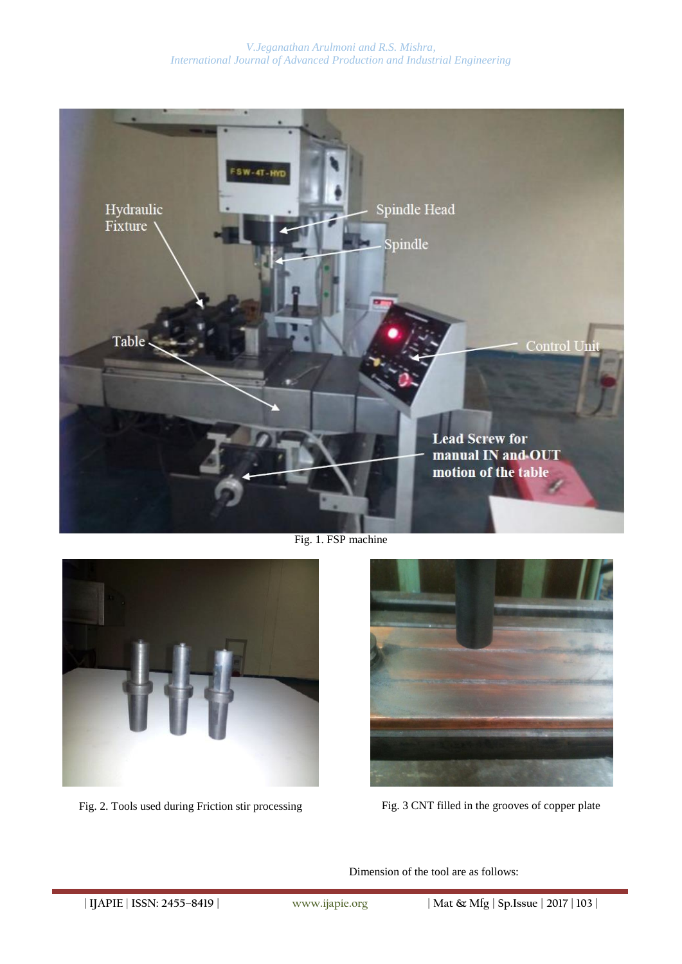# *V.Jeganathan Arulmoni and R.S. Mishra, International Journal of Advanced Production and Industrial Engineering*



Fig. 1. FSP machine



Fig. 2. Tools used during Friction stir processing Fig. 3 CNT filled in the grooves of copper plate



Dimension of the tool are as follows: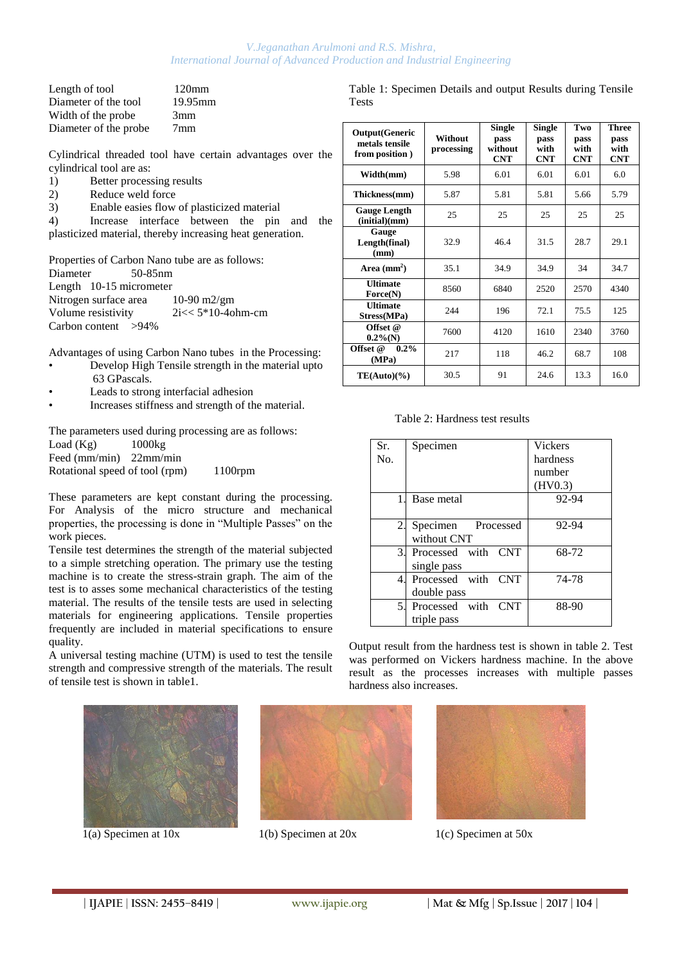### *V.Jeganathan Arulmoni and R.S. Mishra, International Journal of Advanced Production and Industrial Engineering*

| $120 \text{mm}$ |
|-----------------|
| 19.95mm         |
| 3mm             |
| 7 <sub>mm</sub> |
|                 |

Cylindrical threaded tool have certain advantages over the cylindrical tool are as:

- 1) Better processing results
- 2) Reduce weld force<br>3) Enable easies flow
- 3) Enable easies flow of plasticized material

4) Increase interface between the pin and the plasticized material, thereby increasing heat generation.

Properties of Carbon Nano tube are as follows: Diameter 50-85nm Length 10-15 micrometer Nitrogen surface area 10-90 m2/gm Volume resistivity  $2i \ll 5*10-4$ ohm-cm Carbon content >94%

Advantages of using Carbon Nano tubes in the Processing:

- Develop High Tensile strength in the material upto 63 GPascals.
- Leads to strong interfacial adhesion
- Increases stiffness and strength of the material.

The parameters used during processing are as follows: Load (Kg) 1000kg Feed (mm/min) 22mm/min Rotational speed of tool (rpm) 1100rpm

These parameters are kept constant during the processing. For Analysis of the micro structure and mechanical properties, the processing is done in "Multiple Passes" on the work pieces.

Tensile test determines the strength of the material subjected to a simple stretching operation. The primary use the testing machine is to create the stress-strain graph. The aim of the test is to asses some mechanical characteristics of the testing material. The results of the tensile tests are used in selecting materials for engineering applications. Tensile properties frequently are included in material specifications to ensure quality.

A universal testing machine (UTM) is used to test the tensile strength and compressive strength of the materials. The result of tensile test is shown in table1.





Table 1: Specimen Details and output Results during Tensile Tests

| <b>Output(Generic</b><br>metals tensile<br>from position) | Without<br>processing | <b>Single</b><br>pass<br>without<br><b>CNT</b> | <b>Single</b><br>pass<br>with<br><b>CNT</b> | Two<br>pass<br>with<br><b>CNT</b> | <b>Three</b><br>pass<br>with<br><b>CNT</b> |
|-----------------------------------------------------------|-----------------------|------------------------------------------------|---------------------------------------------|-----------------------------------|--------------------------------------------|
| Width(mm)                                                 | 5.98                  | 6.01                                           | 6.01                                        | 6.01                              | 6.0                                        |
| Thickness(mm)                                             | 5.87                  | 5.81                                           | 5.81                                        | 5.66                              | 5.79                                       |
| <b>Gauge Length</b><br>(intial)(mm)                       | 25                    | 25                                             | 25                                          | 25                                | 25                                         |
| Gauge<br>Length(final)<br>(mm)                            | 32.9                  | 46.4                                           | 31.5                                        | 28.7                              | 29.1                                       |
| Area $(mm^2)$                                             | 35.1                  | 34.9                                           | 34.9                                        | 34                                | 34.7                                       |
| <b>Ultimate</b><br>Force(N)                               | 8560                  | 6840                                           | 2520                                        | 2570                              | 4340                                       |
| <b>Ultimate</b><br>Stress(MPa)                            | 244                   | 196                                            | 72.1                                        | 75.5                              | 125                                        |
| Offset @<br>$0.2\%$ (N)                                   | 7600                  | 4120                                           | 1610                                        | 2340                              | 3760                                       |
| $0.2\%$<br>Offset @<br>(MPa)                              | 217                   | 118                                            | 46.2                                        | 68.7                              | 108                                        |
| $TE(Auto)(\%)$                                            | 30.5                  | 91                                             | 24.6                                        | 13.3                              | 16.0                                       |

Table 2: Hardness test results

| Sr. | Specimen           | <b>Vickers</b> |
|-----|--------------------|----------------|
| No. |                    | hardness       |
|     |                    | number         |
|     |                    | (HV0.3)        |
|     | Base metal         | 92-94          |
|     |                    |                |
| 2.  | Specimen Processed | 92-94          |
|     | without CNT        |                |
| 3.  | Processed with CNT | 68-72          |
|     | single pass        |                |
| 4   | Processed with CNT | 74-78          |
|     | double pass        |                |
| 5.  | Processed with CNT | 88-90          |
|     | triple pass        |                |

Output result from the hardness test is shown in table 2. Test was performed on Vickers hardness machine. In the above result as the processes increases with multiple passes hardness also increases.



 $1(a)$  Specimen at 10x 1(b) Specimen at 20x 1(c) Specimen at 50x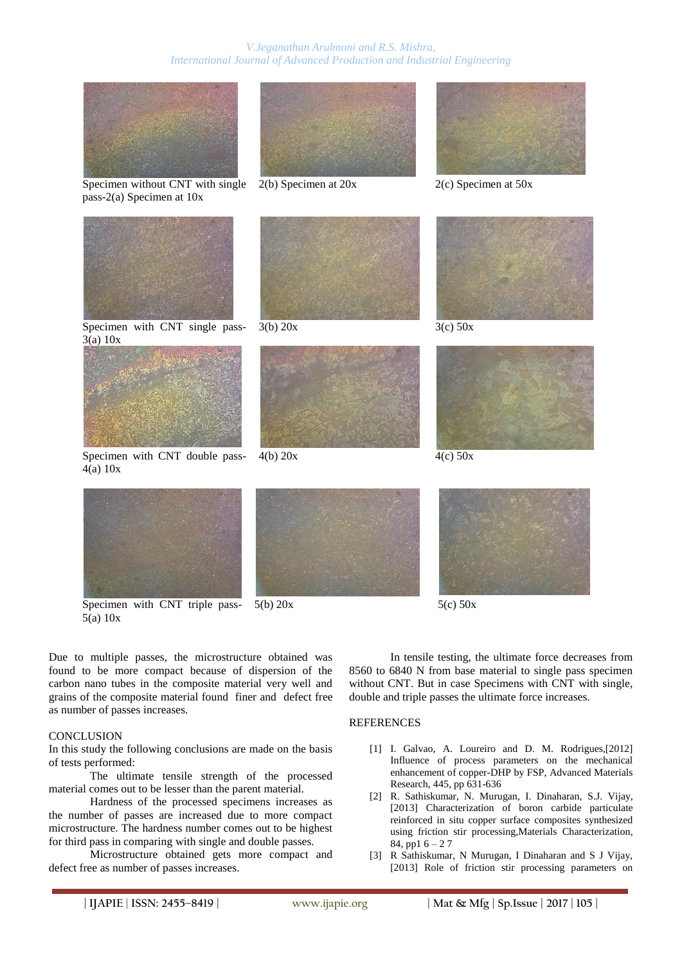

Specimen without CNT with single 2(b) Specimen at 20x 2(c) Specimen at 50x pass-2(a) Specimen at 10x







Specimen with CNT single pass-3(a) 10x



Specimen with CNT double pass-4(a) 10x





 $4(b) 20x$   $4(c) 50x$ 











 $5(b) 20x$   $5(c) 50x$ 

Due to multiple passes, the microstructure obtained was found to be more compact because of dispersion of the carbon nano tubes in the composite material very well and grains of the composite material found finer and defect free as number of passes increases.

### **CONCLUSION**

5(a) 10x

In this study the following conclusions are made on the basis of tests performed:

The ultimate tensile strength of the processed material comes out to be lesser than the parent material.

Hardness of the processed specimens increases as the number of passes are increased due to more compact microstructure. The hardness number comes out to be highest for third pass in comparing with single and double passes.

Microstructure obtained gets more compact and defect free as number of passes increases.

In tensile testing, the ultimate force decreases from 8560 to 6840 N from base material to single pass specimen without CNT. But in case Specimens with CNT with single, double and triple passes the ultimate force increases.

# **REFERENCES**

- [1] I. Galvao, A. Loureiro and D. M. Rodrigues.[2012] Influence of process parameters on the mechanical enhancement of copper-DHP by FSP, Advanced Materials Research, 445, pp 631-636
- [2] R. Sathiskumar, N. Murugan, I. Dinaharan, S.J. Vijay, [2013] Characterization of boron carbide particulate reinforced in situ copper surface composites synthesized using friction stir processing,Materials Characterization, 84, pp1 6 – 2 7
- [3] R Sathiskumar, N Murugan, I Dinaharan and S J Vijay, [2013] Role of friction stir processing parameters on